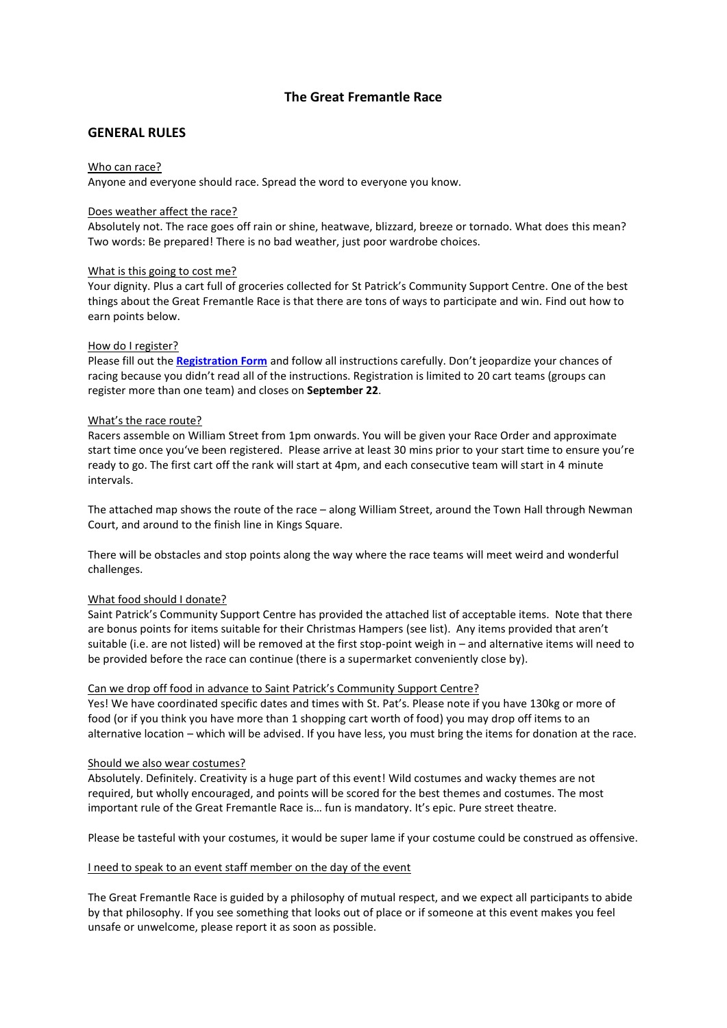# **The Great Fremantle Race**

## **GENERAL RULES**

#### Who can race?

Anyone and everyone should race. Spread the word to everyone you know.

#### Does weather affect the race?

Absolutely not. The race goes off rain or shine, heatwave, blizzard, breeze or tornado. What does this mean? Two words: Be prepared! There is no bad weather, just poor wardrobe choices.

#### What is this going to cost me?

Your dignity. Plus a cart full of groceries collected for St Patrick's Community Support Centre. One of the best things about the Great Fremantle Race is that there are tons of ways to participate and win. Find out how to earn points below.

#### How do I register?

Please fill out the **[Registration Form](http://www.fremantlefestival.com.au/whats-on/the-great-fremantle-race/#register)** and follow all instructions carefully. Don't jeopardize your chances of racing because you didn't read all of the instructions. Registration is limited to 20 cart teams (groups can register more than one team) and closes on **September 22**.

#### What's the race route?

Racers assemble on William Street from 1pm onwards. You will be given your Race Order and approximate start time once you've been registered. Please arrive at least 30 mins prior to your start time to ensure you're ready to go. The first cart off the rank will start at 4pm, and each consecutive team will start in 4 minute intervals.

The attached map shows the route of the race – along William Street, around the Town Hall through Newman Court, and around to the finish line in Kings Square.

There will be obstacles and stop points along the way where the race teams will meet weird and wonderful challenges.

### What food should I donate?

Saint Patrick's Community Support Centre has provided the attached list of acceptable items. Note that there are bonus points for items suitable for their Christmas Hampers (see list). Any items provided that aren't suitable (i.e. are not listed) will be removed at the first stop-point weigh in – and alternative items will need to be provided before the race can continue (there is a supermarket conveniently close by).

### Can we drop off food in advance to Saint Patrick's Community Support Centre?

Yes! We have coordinated specific dates and times with St. Pat's. Please note if you have 130kg or more of food (or if you think you have more than 1 shopping cart worth of food) you may drop off items to an alternative location – which will be advised. If you have less, you must bring the items for donation at the race.

#### Should we also wear costumes?

Absolutely. Definitely. Creativity is a huge part of this event! Wild costumes and wacky themes are not required, but wholly encouraged, and points will be scored for the best themes and costumes. The most important rule of the Great Fremantle Race is… fun is mandatory. It's epic. Pure street theatre.

Please be tasteful with your costumes, it would be super lame if your costume could be construed as offensive.

#### I need to speak to an event staff member on the day of the event

The Great Fremantle Race is guided by a philosophy of mutual respect, and we expect all participants to abide by that philosophy. If you see something that looks out of place or if someone at this event makes you feel unsafe or unwelcome, please report it as soon as possible.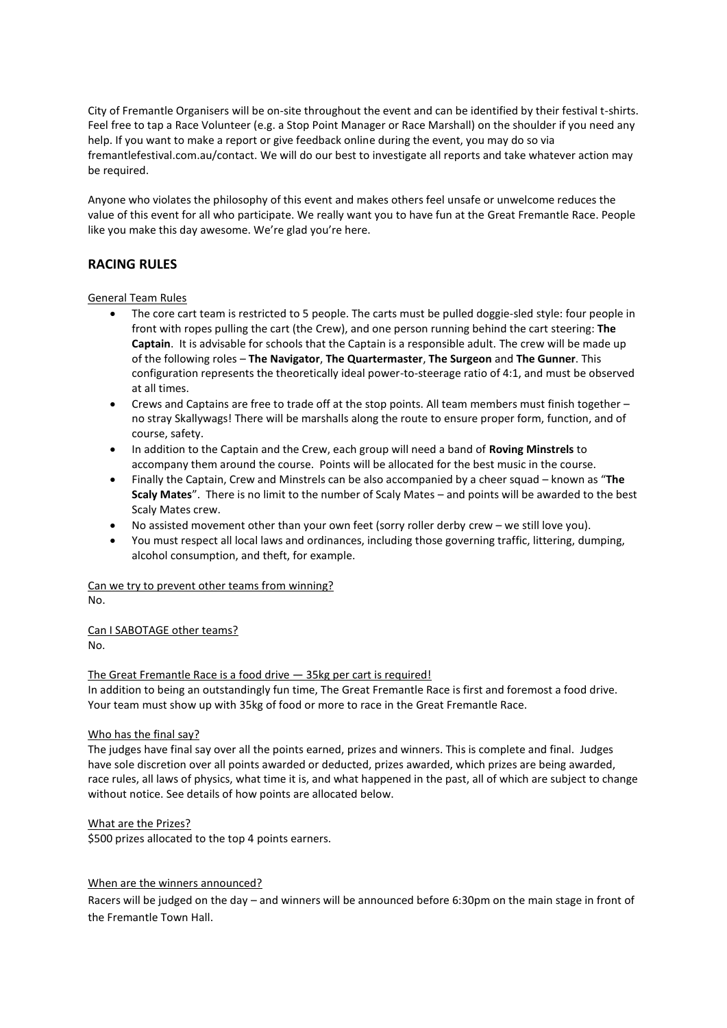City of Fremantle Organisers will be on-site throughout the event and can be identified by their festival t-shirts. Feel free to tap a Race Volunteer (e.g. a Stop Point Manager or Race Marshall) on the shoulder if you need any help. If you want to make a report or give feedback online during the event, you may do so via fremantlefestival.com.au/contact. We will do our best to investigate all reports and take whatever action may be required.

Anyone who violates the philosophy of this event and makes others feel unsafe or unwelcome reduces the value of this event for all who participate. We really want you to have fun at the Great Fremantle Race. People like you make this day awesome. We're glad you're here.

# **RACING RULES**

### General Team Rules

- The core cart team is restricted to 5 people. The carts must be pulled doggie-sled style: four people in front with ropes pulling the cart (the Crew), and one person running behind the cart steering: **The Captain**. It is advisable for schools that the Captain is a responsible adult. The crew will be made up of the following roles – **The Navigator**, **The Quartermaster**, **The Surgeon** and **The Gunner**. This configuration represents the theoretically ideal power-to-steerage ratio of 4:1, and must be observed at all times.
- Crews and Captains are free to trade off at the stop points. All team members must finish together no stray Skallywags! There will be marshalls along the route to ensure proper form, function, and of course, safety.
- In addition to the Captain and the Crew, each group will need a band of **Roving Minstrels** to accompany them around the course. Points will be allocated for the best music in the course.
- Finally the Captain, Crew and Minstrels can be also accompanied by a cheer squad known as "**The Scaly Mates**". There is no limit to the number of Scaly Mates – and points will be awarded to the best Scaly Mates crew.
- No assisted movement other than your own feet (sorry roller derby crew we still love you).
- You must respect all local laws and ordinances, including those governing traffic, littering, dumping, alcohol consumption, and theft, for example.

#### Can we try to prevent other teams from winning? No.

Can I SABOTAGE other teams? No.

### The Great Fremantle Race is a food drive — 35kg per cart is required!

In addition to being an outstandingly fun time, The Great Fremantle Race is first and foremost a food drive. Your team must show up with 35kg of food or more to race in the Great Fremantle Race.

### Who has the final say?

The judges have final say over all the points earned, prizes and winners. This is complete and final. Judges have sole discretion over all points awarded or deducted, prizes awarded, which prizes are being awarded, race rules, all laws of physics, what time it is, and what happened in the past, all of which are subject to change without notice. See details of how points are allocated below.

### What are the Prizes?

\$500 prizes allocated to the top 4 points earners.

### When are the winners announced?

Racers will be judged on the day – and winners will be announced before 6:30pm on the main stage in front of the Fremantle Town Hall.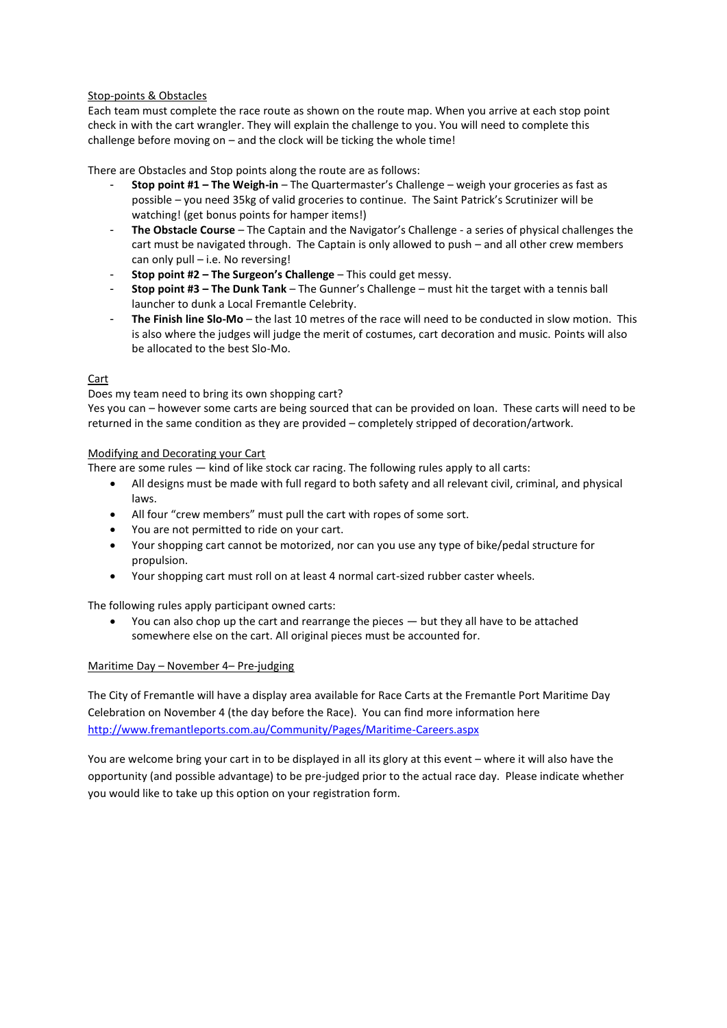### Stop-points & Obstacles

Each team must complete the race route as shown on the route map. When you arrive at each stop point check in with the cart wrangler. They will explain the challenge to you. You will need to complete this challenge before moving on – and the clock will be ticking the whole time!

There are Obstacles and Stop points along the route are as follows:

- **Stop point #1 – The Weigh-in** The Quartermaster's Challenge weigh your groceries as fast as possible – you need 35kg of valid groceries to continue. The Saint Patrick's Scrutinizer will be watching! (get bonus points for hamper items!)
- **The Obstacle Course** The Captain and the Navigator's Challenge a series of physical challenges the cart must be navigated through. The Captain is only allowed to push – and all other crew members can only pull – i.e. No reversing!
- **Stop point #2 – The Surgeon's Challenge** This could get messy.
- **Stop point #3 – The Dunk Tank** The Gunner's Challenge must hit the target with a tennis ball launcher to dunk a Local Fremantle Celebrity.
- **The Finish line Slo-Mo** the last 10 metres of the race will need to be conducted in slow motion. This is also where the judges will judge the merit of costumes, cart decoration and music. Points will also be allocated to the best Slo-Mo.

## Cart

Does my team need to bring its own shopping cart?

Yes you can – however some carts are being sourced that can be provided on loan. These carts will need to be returned in the same condition as they are provided – completely stripped of decoration/artwork.

## Modifying and Decorating your Cart

There are some rules — kind of like stock car racing. The following rules apply to all carts:

- All designs must be made with full regard to both safety and all relevant civil, criminal, and physical laws.
- All four "crew members" must pull the cart with ropes of some sort.
- You are not permitted to ride on your cart.
- Your shopping cart cannot be motorized, nor can you use any type of bike/pedal structure for propulsion.
- Your shopping cart must roll on at least 4 normal cart-sized rubber caster wheels.

The following rules apply participant owned carts:

 You can also chop up the cart and rearrange the pieces — but they all have to be attached somewhere else on the cart. All original pieces must be accounted for.

## Maritime Day – November 4– Pre-judging

The City of Fremantle will have a display area available for Race Carts at the Fremantle Port Maritime Day Celebration on November 4 (the day before the Race). You can find more information here <http://www.fremantleports.com.au/Community/Pages/Maritime-Careers.aspx>

You are welcome bring your cart in to be displayed in all its glory at this event – where it will also have the opportunity (and possible advantage) to be pre-judged prior to the actual race day. Please indicate whether you would like to take up this option on your registration form.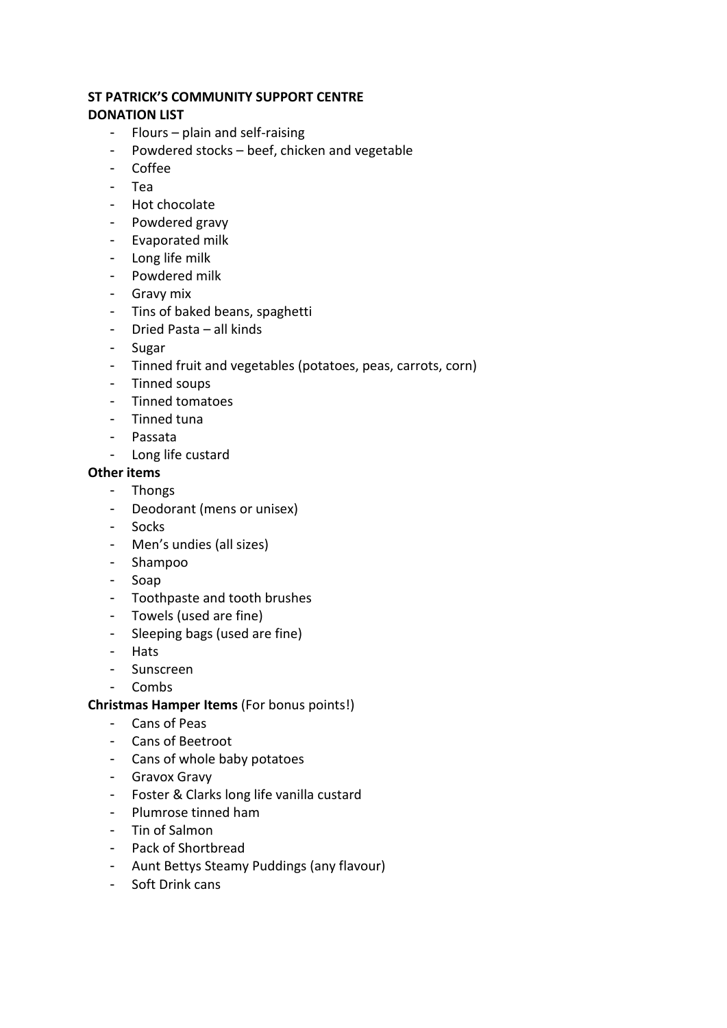# **ST PATRICK'S COMMUNITY SUPPORT CENTRE**

# **DONATION LIST**

- Flours plain and self-raising
- Powdered stocks beef, chicken and vegetable
- Coffee
- Tea
- Hot chocolate
- Powdered gravy
- Evaporated milk
- Long life milk
- Powdered milk
- Gravy mix
- Tins of baked beans, spaghetti
- Dried Pasta all kinds
- Sugar
- Tinned fruit and vegetables (potatoes, peas, carrots, corn)
- Tinned soups
- Tinned tomatoes
- Tinned tuna
- Passata
- Long life custard

# **Other items**

- Thongs
- Deodorant (mens or unisex)
- Socks
- Men's undies (all sizes)
- Shampoo
- Soap
- Toothpaste and tooth brushes
- Towels (used are fine)
- Sleeping bags (used are fine)
- Hats
- Sunscreen
- Combs

# **Christmas Hamper Items** (For bonus points!)

- Cans of Peas
- Cans of Beetroot
- Cans of whole baby potatoes
- Gravox Gravy
- Foster & Clarks long life vanilla custard
- Plumrose tinned ham
- Tin of Salmon
- Pack of Shortbread
- Aunt Bettys Steamy Puddings (any flavour)
- Soft Drink cans